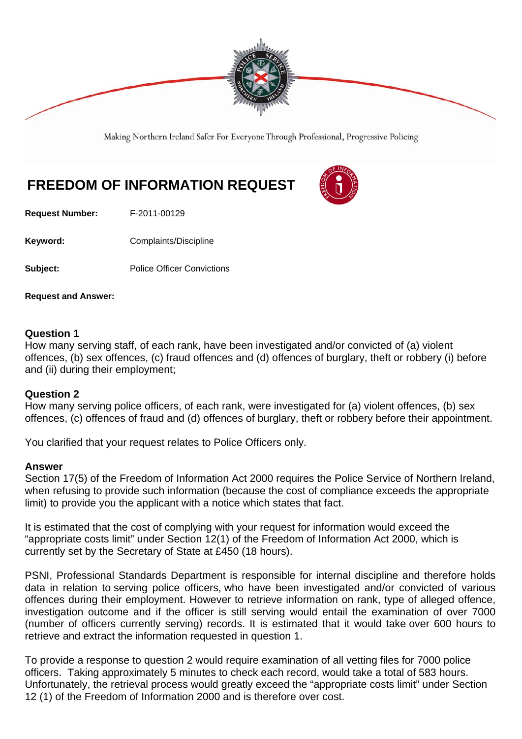

Making Northern Ireland Safer For Everyone Through Professional, Progressive Policing

## **FREEDOM OF INFORMATION REQUEST**

**Request Number:** F-2011-00129

**Keyword: Complaints/Discipline** 

**Subject:** Police Officer Convictions

**Request and Answer:** 

## **Question 1**

How many serving staff, of each rank, have been investigated and/or convicted of (a) violent offences, (b) sex offences, (c) fraud offences and (d) offences of burglary, theft or robbery (i) before and (ii) during their employment;

## **Question 2**

How many serving police officers, of each rank, were investigated for (a) violent offences, (b) sex offences, (c) offences of fraud and (d) offences of burglary, theft or robbery before their appointment.

You clarified that your request relates to Police Officers only.

## **Answer**

Section 17(5) of the Freedom of Information Act 2000 requires the Police Service of Northern Ireland, when refusing to provide such information (because the cost of compliance exceeds the appropriate limit) to provide you the applicant with a notice which states that fact.

It is estimated that the cost of complying with your request for information would exceed the "appropriate costs limit" under Section 12(1) of the Freedom of Information Act 2000, which is currently set by the Secretary of State at £450 (18 hours).

PSNI, Professional Standards Department is responsible for internal discipline and therefore holds data in relation to serving police officers, who have been investigated and/or convicted of various offences during their employment. However to retrieve information on rank, type of alleged offence, investigation outcome and if the officer is still serving would entail the examination of over 7000 (number of officers currently serving) records. It is estimated that it would take over 600 hours to retrieve and extract the information requested in question 1.

To provide a response to question 2 would require examination of all vetting files for 7000 police officers. Taking approximately 5 minutes to check each record, would take a total of 583 hours. Unfortunately, the retrieval process would greatly exceed the "appropriate costs limit" under Section 12 (1) of the Freedom of Information 2000 and is therefore over cost.